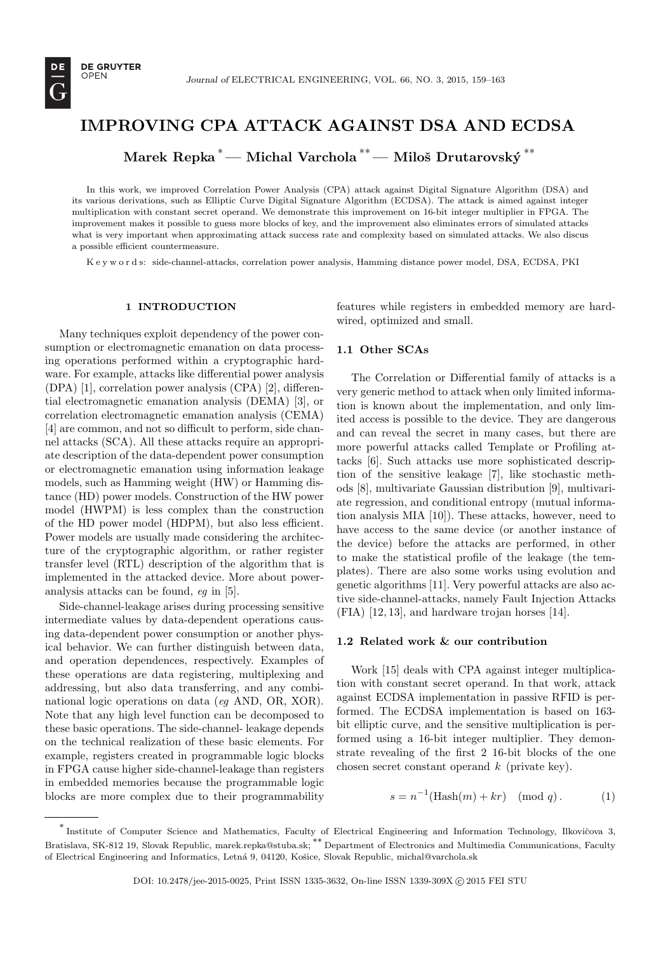# IMPROVING CPA ATTACK AGAINST DSA AND ECDSA

Marek Repka<sup>\*</sup>— Michal Varchola<sup>\*\*</sup>— Miloš Drutarovský<sup>\*\*</sup>

In this work, we improved Correlation Power Analysis (CPA) attack against Digital Signature Algorithm (DSA) and its various derivations, such as Elliptic Curve Digital Signature Algorithm (ECDSA). The attack is aimed against integer multiplication with constant secret operand. We demonstrate this improvement on 16-bit integer multiplier in FPGA. The improvement makes it possible to guess more blocks of key, and the improvement also eliminates errors of simulated attacks what is very important when approximating attack success rate and complexity based on simulated attacks. We also discus a possible efficient countermeasure.

K e y w o r d s: side-channel-attacks, correlation power analysis, Hamming distance power model, DSA, ECDSA, PKI

#### 1 INTRODUCTION

Many techniques exploit dependency of the power consumption or electromagnetic emanation on data processing operations performed within a cryptographic hardware. For example, attacks like differential power analysis (DPA) [1], correlation power analysis (CPA) [2], differential electromagnetic emanation analysis (DEMA) [3], or correlation electromagnetic emanation analysis (CEMA) [4] are common, and not so difficult to perform, side channel attacks (SCA). All these attacks require an appropriate description of the data-dependent power consumption or electromagnetic emanation using information leakage models, such as Hamming weight (HW) or Hamming distance (HD) power models. Construction of the HW power model (HWPM) is less complex than the construction of the HD power model (HDPM), but also less efficient. Power models are usually made considering the architecture of the cryptographic algorithm, or rather register transfer level (RTL) description of the algorithm that is implemented in the attacked device. More about poweranalysis attacks can be found, eg in [5].

Side-channel-leakage arises during processing sensitive intermediate values by data-dependent operations causing data-dependent power consumption or another physical behavior. We can further distinguish between data, and operation dependences, respectively. Examples of these operations are data registering, multiplexing and addressing, but also data transferring, and any combinational logic operations on data (eg AND, OR, XOR). Note that any high level function can be decomposed to these basic operations. The side-channel- leakage depends on the technical realization of these basic elements. For example, registers created in programmable logic blocks in FPGA cause higher side-channel-leakage than registers in embedded memories because the programmable logic blocks are more complex due to their programmability

features while registers in embedded memory are hardwired, optimized and small.

## 1.1 Other SCAs

The Correlation or Differential family of attacks is a very generic method to attack when only limited information is known about the implementation, and only limited access is possible to the device. They are dangerous and can reveal the secret in many cases, but there are more powerful attacks called Template or Profiling attacks [6]. Such attacks use more sophisticated description of the sensitive leakage [7], like stochastic methods [8], multivariate Gaussian distribution [9], multivariate regression, and conditional entropy (mutual information analysis MIA [10]). These attacks, however, need to have access to the same device (or another instance of the device) before the attacks are performed, in other to make the statistical profile of the leakage (the templates). There are also some works using evolution and genetic algorithms [11]. Very powerful attacks are also active side-channel-attacks, namely Fault Injection Attacks (FIA) [12, 13], and hardware trojan horses [14].

## 1.2 Related work & our contribution

Work [15] deals with CPA against integer multiplication with constant secret operand. In that work, attack against ECDSA implementation in passive RFID is performed. The ECDSA implementation is based on 163 bit elliptic curve, and the sensitive multiplication is performed using a 16-bit integer multiplier. They demonstrate revealing of the first 2 16-bit blocks of the one chosen secret constant operand  $k$  (private key).

$$
s = n^{-1}(\text{Hash}(m) + kr) \pmod{q}.
$$
 (1)

<sup>\*</sup> Institute of Computer Science and Mathematics, Faculty of Electrical Engineering and Information Technology, Ilkovičova 3, Bratislava, SK-812 19, Slovak Republic, marek.repka@stuba.sk; \*\* Department of Electronics and Multimedia Communications, Faculty of Electrical Engineering and Informatics, Letná 9, 04120, Košice, Slovak Republic, michal@varchola.sk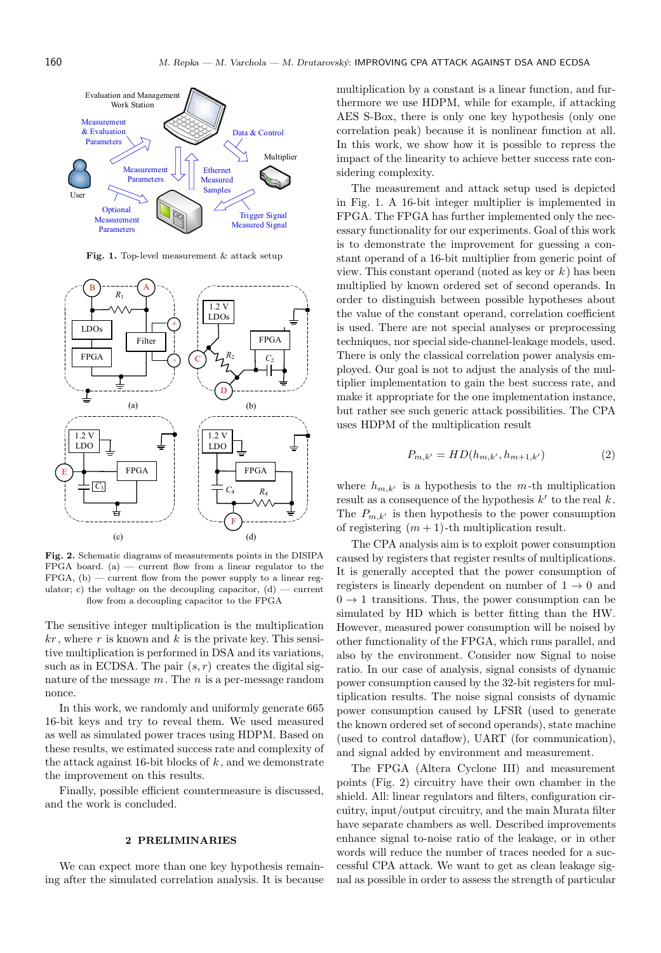

Fig. 1. Top-level measurement & attack setup



Fig. 2. Schematic diagrams of measurements points in the DISIPA FPGA board. (a) — current flow from a linear regulator to the  $FPGA, (b)$  — current flow from the power supply to a linear regulator; c) the voltage on the decoupling capacitor,  $(d)$  — current flow from a decoupling capacitor to the FPGA

The sensitive integer multiplication is the multiplication  $kr$ , where r is known and k is the private key. This sensitive multiplication is performed in DSA and its variations, such as in ECDSA. The pair  $(s, r)$  creates the digital signature of the message  $m$ . The  $n$  is a per-message random nonce.

In this work, we randomly and uniformly generate 665 16-bit keys and try to reveal them. We used measured as well as simulated power traces using HDPM. Based on these results, we estimated success rate and complexity of the attack against 16-bit blocks of  $k$ , and we demonstrate the improvement on this results.

Finally, possible efficient countermeasure is discussed, and the work is concluded.

#### 2 PRELIMINARIES

We can expect more than one key hypothesis remaining after the simulated correlation analysis. It is because multiplication by a constant is a linear function, and furthermore we use HDPM, while for example, if attacking AES S-Box, there is only one key hypothesis (only one correlation peak) because it is nonlinear function at all. In this work, we show how it is possible to repress the impact of the linearity to achieve better success rate considering complexity.

The measurement and attack setup used is depicted in Fig. 1. A 16-bit integer multiplier is implemented in FPGA. The FPGA has further implemented only the necessary functionality for our experiments. Goal of this work is to demonstrate the improvement for guessing a constant operand of a 16-bit multiplier from generic point of view. This constant operand (noted as key or  $k$ ) has been multiplied by known ordered set of second operands. In order to distinguish between possible hypotheses about the value of the constant operand, correlation coefficient is used. There are not special analyses or preprocessing techniques, nor special side-channel-leakage models, used. There is only the classical correlation power analysis employed. Our goal is not to adjust the analysis of the multiplier implementation to gain the best success rate, and make it appropriate for the one implementation instance, but rather see such generic attack possibilities. The CPA uses HDPM of the multiplication result

$$
P_{m,k'} = HD(h_{m,k'}, h_{m+1,k'})
$$
\n(2)

where  $h_{m,k'}$  is a hypothesis to the m-th multiplication result as a consequence of the hypothesis  $k'$  to the real  $k$ . The  $P_{m,k'}$  is then hypothesis to the power consumption of registering  $(m + 1)$ -th multiplication result.

The CPA analysis aim is to exploit power consumption caused by registers that register results of multiplications. It is generally accepted that the power consumption of registers is linearly dependent on number of  $1 \rightarrow 0$  and  $0 \rightarrow 1$  transitions. Thus, the power consumption can be simulated by HD which is better fitting than the HW. However, measured power consumption will be noised by other functionality of the FPGA, which runs parallel, and also by the environment. Consider now Signal to noise ratio. In our case of analysis, signal consists of dynamic power consumption caused by the 32-bit registers for multiplication results. The noise signal consists of dynamic power consumption caused by LFSR (used to generate the known ordered set of second operands), state machine (used to control dataflow), UART (for communication), and signal added by environment and measurement.

The FPGA (Altera Cyclone III) and measurement points (Fig. 2) circuitry have their own chamber in the shield. All: linear regulators and filters, configuration circuitry, input/output circuitry, and the main Murata filter have separate chambers as well. Described improvements enhance signal to-noise ratio of the leakage, or in other words will reduce the number of traces needed for a successful CPA attack. We want to get as clean leakage signal as possible in order to assess the strength of particular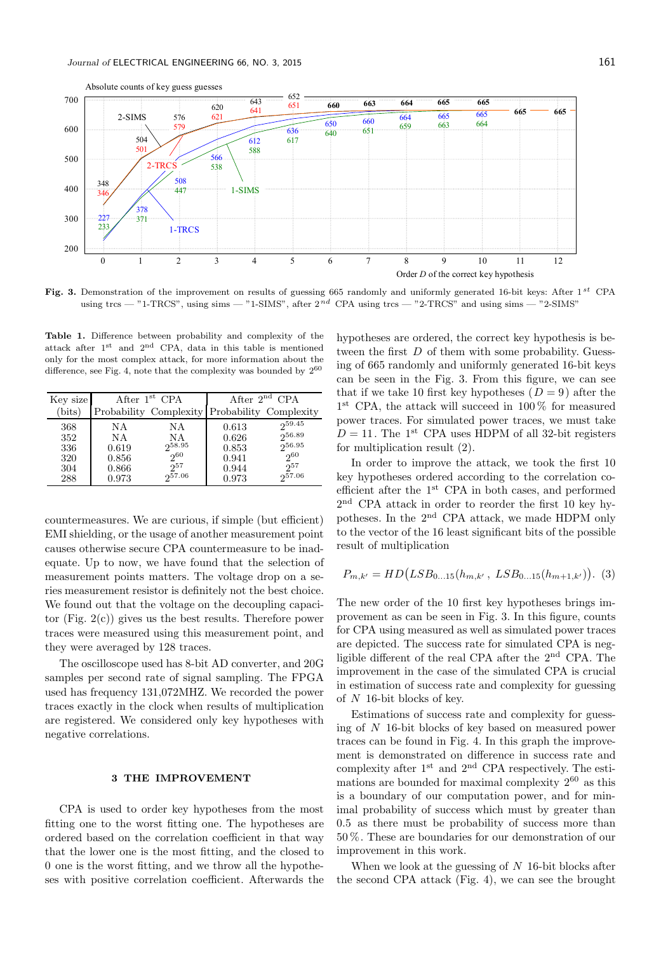Fig. 3. Demonstration of the improvement on results of guessing 665 randomly and uniformly generated 16-bit keys: After  $1^{st}$  CPA using trcs — "1-TRCS", using sims — "1-SIMS", after  $2^{nd}$  CPA using trcs — "2-TRCS" and using sims — "2-SIMS"

Table 1. Difference between probability and complexity of the attack after 1st and 2nd CPA, data in this table is mentioned only for the most complex attack, for more information about the difference, see Fig. 4, note that the complexity was bounded by  $2^{60}\,$ 

| Key size   | After $1st$ CPA |                                               | After $2^{nd}$ CPA |                      |
|------------|-----------------|-----------------------------------------------|--------------------|----------------------|
| (bits)     |                 | Probability Complexity Probability Complexity |                    |                      |
| 368        | ΝA              | ΝA                                            | 0.613              | 259.45               |
| 352        | ΝA              | NА                                            | 0.626              | 256.89               |
| 336        | 0.619           | 258.95                                        | 0.853              | 256.95               |
| 320        | 0.856           | $2^{60}$<br>$2^{57}$                          | 0.941              | $2^{60}$<br>$2^{57}$ |
| 304<br>288 | 0.866<br>0.973  | 257.06                                        | 0.944<br>0.973     | $2^{57.06}$          |

countermeasures. We are curious, if simple (but efficient) EMI shielding, or the usage of another measurement point causes otherwise secure CPA countermeasure to be inadequate. Up to now, we have found that the selection of measurement points matters. The voltage drop on a series measurement resistor is definitely not the best choice. We found out that the voltage on the decoupling capacitor (Fig. 2(c)) gives us the best results. Therefore power traces were measured using this measurement point, and they were averaged by 128 traces.

The oscilloscope used has 8-bit AD converter, and 20G samples per second rate of signal sampling. The FPGA used has frequency 131,072MHZ. We recorded the power traces exactly in the clock when results of multiplication are registered. We considered only key hypotheses with negative correlations.

#### 3 THE IMPROVEMENT

CPA is used to order key hypotheses from the most fitting one to the worst fitting one. The hypotheses are ordered based on the correlation coefficient in that way that the lower one is the most fitting, and the closed to 0 one is the worst fitting, and we throw all the hypotheses with positive correlation coefficient. Afterwards the

hypotheses are ordered, the correct key hypothesis is between the first D of them with some probability. Guessing of 665 randomly and uniformly generated 16-bit keys can be seen in the Fig. 3. From this figure, we can see that if we take 10 first key hypotheses  $(D = 9)$  after the 1 st CPA, the attack will succeed in 100 % for measured power traces. For simulated power traces, we must take  $D = 11$ . The 1<sup>st</sup> CPA uses HDPM of all 32-bit registers for multiplication result (2).

In order to improve the attack, we took the first 10 key hypotheses ordered according to the correlation coefficient after the 1st CPA in both cases, and performed 2 nd CPA attack in order to reorder the first 10 key hypotheses. In the 2nd CPA attack, we made HDPM only to the vector of the 16 least significant bits of the possible result of multiplication

$$
P_{m,k'} = HD(LSB_{0...15}(h_{m,k'},\, LSB_{0...15}(h_{m+1,k'})).
$$
 (3)

The new order of the 10 first key hypotheses brings improvement as can be seen in Fig. 3. In this figure, counts for CPA using measured as well as simulated power traces are depicted. The success rate for simulated CPA is negligible different of the real CPA after the 2nd CPA. The improvement in the case of the simulated CPA is crucial in estimation of success rate and complexity for guessing of  $N$  16-bit blocks of key.

Estimations of success rate and complexity for guessing of N 16-bit blocks of key based on measured power traces can be found in Fig. 4. In this graph the improvement is demonstrated on difference in success rate and complexity after  $1<sup>st</sup>$  and  $2<sup>nd</sup>$  CPA respectively. The estimations are bounded for maximal complexity  $2^{60}$  as this is a boundary of our computation power, and for minimal probability of success which must by greater than 0.5 as there must be probability of success more than 50 %. These are boundaries for our demonstration of our improvement in this work.

When we look at the guessing of  $N$  16-bit blocks after the second CPA attack (Fig. 4), we can see the brought

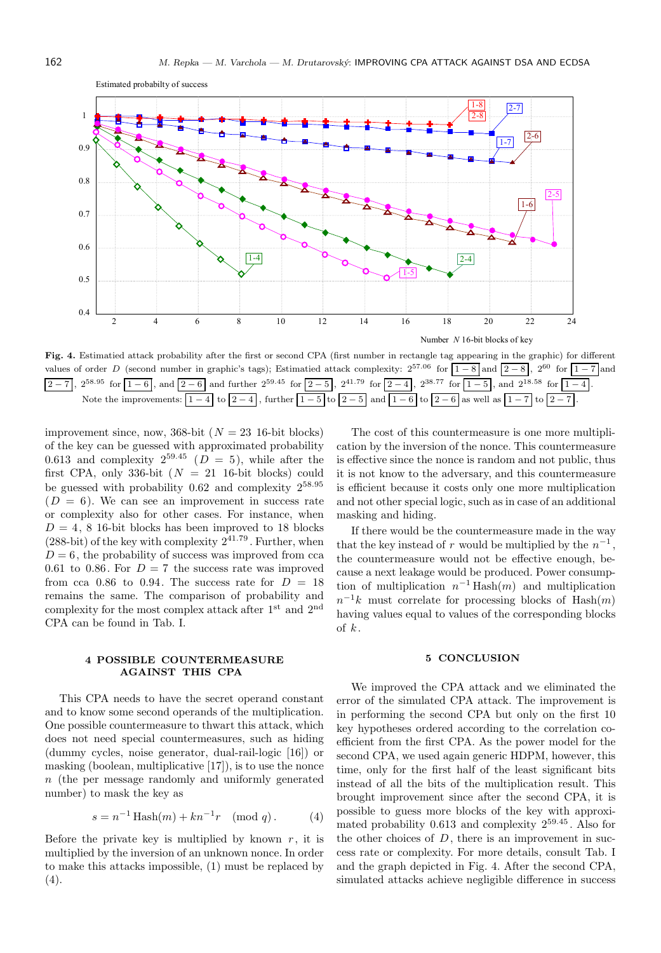

Fig. 4. Estimatied attack probability after the first or second CPA (first number in rectangle tag appearing in the graphic) for different values of order D (second number in graphic's tags); Estimatied attack complexity:  $2^{57.06}$  for  $\boxed{1-8}$  and  $\boxed{2-8}$ ,  $2^{60}$  for  $\boxed{1-7}$  and  $\boxed{2-7}$ ,  $2^{58.95}$  for  $\boxed{1-6}$ , and  $\boxed{2-6}$  and further  $2^{59.45}$  for  $\boxed{2-5}$ ,  $2^{41.79}$  for  $\boxed{2-4}$ ,  $2^{38.77}$  for  $\boxed{1-5}$ , and  $2^{18.58}$  for  $\boxed{1-4}$ . Note the improvements:  $\boxed{1-4}$  to  $\boxed{2-4}$ , further  $\boxed{1-5$  to  $\boxed{2-5}$  and  $\boxed{1-6}$  to  $\boxed{2-6}$  as well as  $\boxed{1-7}$  to  $\boxed{2-7}$ 

improvement since, now, 368-bit ( $N = 23$  16-bit blocks) of the key can be guessed with approximated probability 0.613 and complexity  $2^{59.45}$  ( $D = 5$ ), while after the first CPA, only 336-bit  $(N = 21 \text{ 16-bit blocks})$  could be guessed with probability 0.62 and complexity 2<sup>58</sup>.<sup>95</sup>  $(D = 6)$ . We can see an improvement in success rate or complexity also for other cases. For instance, when  $D = 4, 8$  16-bit blocks has been improved to 18 blocks  $(288-bit)$  of the key with complexity  $2^{41.79}$ . Further, when  $D = 6$ , the probability of success was improved from cca 0.61 to 0.86. For  $D = 7$  the success rate was improved from cca 0.86 to 0.94. The success rate for  $D = 18$ remains the same. The comparison of probability and complexity for the most complex attack after  $1<sup>st</sup>$  and  $2<sup>nd</sup>$ CPA can be found in Tab. I.

#### 4 POSSIBLE COUNTERMEASURE AGAINST THIS CPA

This CPA needs to have the secret operand constant and to know some second operands of the multiplication. One possible countermeasure to thwart this attack, which does not need special countermeasures, such as hiding (dummy cycles, noise generator, dual-rail-logic [16]) or masking (boolean, multiplicative [17]), is to use the nonce n (the per message randomly and uniformly generated number) to mask the key as

$$
s = n^{-1} \operatorname{Hash}(m) + kn^{-1}r \pmod{q}.
$$
 (4)

Before the private key is multiplied by known  $r$ , it is multiplied by the inversion of an unknown nonce. In order to make this attacks impossible, (1) must be replaced by  $(4).$ 

The cost of this countermeasure is one more multiplication by the inversion of the nonce. This countermeasure is effective since the nonce is random and not public, thus it is not know to the adversary, and this countermeasure is efficient because it costs only one more multiplication and not other special logic, such as in case of an additional masking and hiding.

If there would be the countermeasure made in the way that the key instead of r would be multiplied by the  $n^{-1}$ , the countermeasure would not be effective enough, because a next leakage would be produced. Power consumption of multiplication  $n^{-1}$  Hash $(m)$  and multiplication  $n^{-1}k$  must correlate for processing blocks of Hash $(m)$ having values equal to values of the corresponding blocks of  $k$ .

#### 5 CONCLUSION

We improved the CPA attack and we eliminated the error of the simulated CPA attack. The improvement is in performing the second CPA but only on the first 10 key hypotheses ordered according to the correlation coefficient from the first CPA. As the power model for the second CPA, we used again generic HDPM, however, this time, only for the first half of the least significant bits instead of all the bits of the multiplication result. This brought improvement since after the second CPA, it is possible to guess more blocks of the key with approximated probability  $0.613$  and complexity  $2^{59.45}$ . Also for the other choices of  $D$ , there is an improvement in success rate or complexity. For more details, consult Tab. I and the graph depicted in Fig. 4. After the second CPA, simulated attacks achieve negligible difference in success